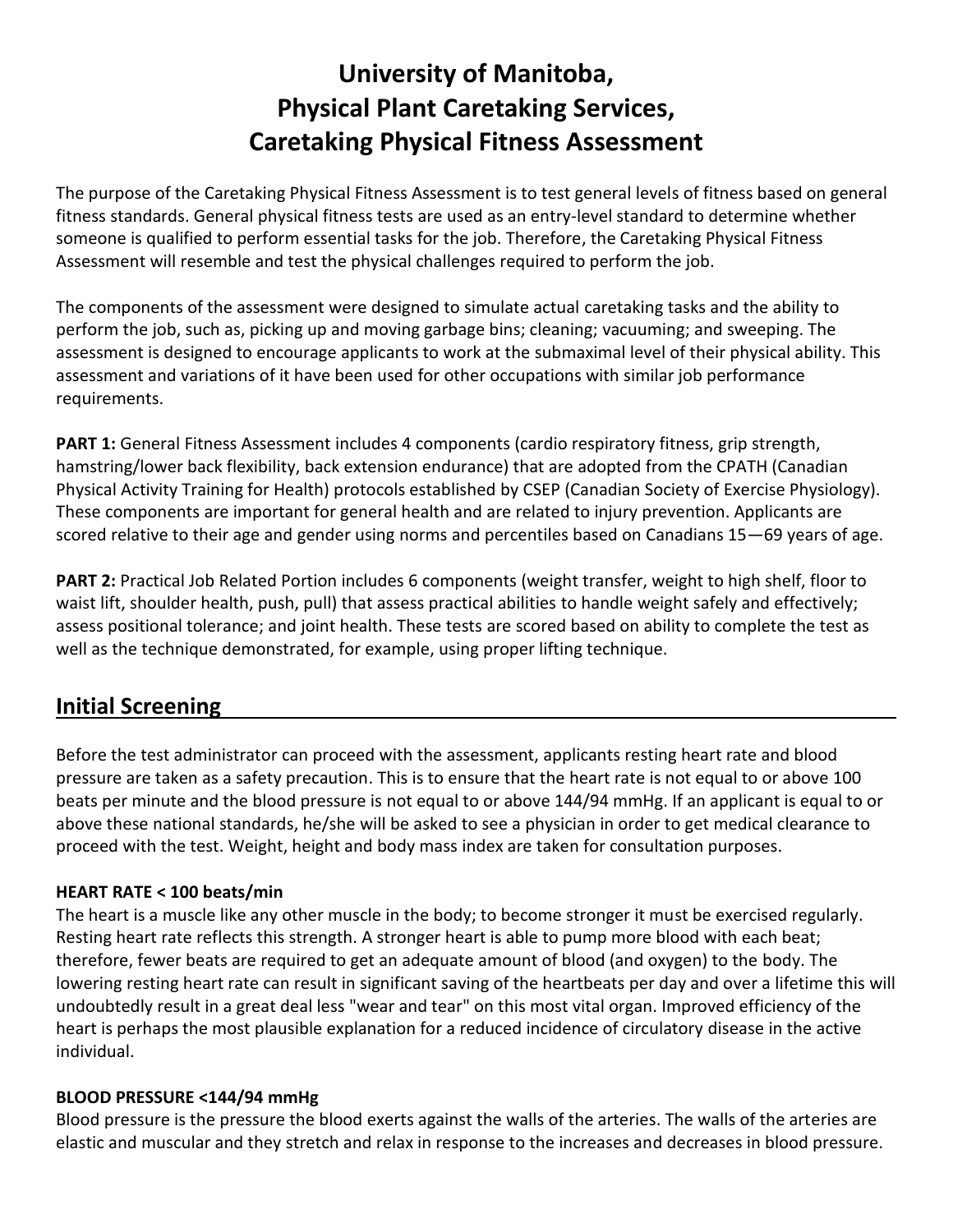# **University of Manitoba, Physical Plant Caretaking Services, Caretaking Physical Fitness Assessment**

The purpose of the Caretaking Physical Fitness Assessment is to test general levels of fitness based on general fitness standards. General physical fitness tests are used as an entry-level standard to determine whether someone is qualified to perform essential tasks for the job. Therefore, the Caretaking Physical Fitness Assessment will resemble and test the physical challenges required to perform the job.

The components of the assessment were designed to simulate actual caretaking tasks and the ability to perform the job, such as, picking up and moving garbage bins; cleaning; vacuuming; and sweeping. The assessment is designed to encourage applicants to work at the submaximal level of their physical ability. This assessment and variations of it have been used for other occupations with similar job performance requirements.

**PART 1:** General Fitness Assessment includes 4 components (cardio respiratory fitness, grip strength, hamstring/lower back flexibility, back extension endurance) that are adopted from the CPATH (Canadian Physical Activity Training for Health) protocols established by CSEP (Canadian Society of Exercise Physiology). These components are important for general health and are related to injury prevention. Applicants are scored relative to their age and gender using norms and percentiles based on Canadians 15—69 years of age.

**PART 2:** Practical Job Related Portion includes 6 components (weight transfer, weight to high shelf, floor to waist lift, shoulder health, push, pull) that assess practical abilities to handle weight safely and effectively; assess positional tolerance; and joint health. These tests are scored based on ability to complete the test as well as the technique demonstrated, for example, using proper lifting technique.

# **Initial Screening**

Before the test administrator can proceed with the assessment, applicants resting heart rate and blood pressure are taken as a safety precaution. This is to ensure that the heart rate is not equal to or above 100 beats per minute and the blood pressure is not equal to or above 144/94 mmHg. If an applicant is equal to or above these national standards, he/she will be asked to see a physician in order to get medical clearance to proceed with the test. Weight, height and body mass index are taken for consultation purposes.

# **HEART RATE < 100 beats/min**

The heart is a muscle like any other muscle in the body; to become stronger it must be exercised regularly. Resting heart rate reflects this strength. A stronger heart is able to pump more blood with each beat; therefore, fewer beats are required to get an adequate amount of blood (and oxygen) to the body. The lowering resting heart rate can result in significant saving of the heartbeats per day and over a lifetime this will undoubtedly result in a great deal less "wear and tear" on this most vital organ. Improved efficiency of the heart is perhaps the most plausible explanation for a reduced incidence of circulatory disease in the active individual.

# **BLOOD PRESSURE <144/94 mmHg**

Blood pressure is the pressure the blood exerts against the walls of the arteries. The walls of the arteries are elastic and muscular and they stretch and relax in response to the increases and decreases in blood pressure.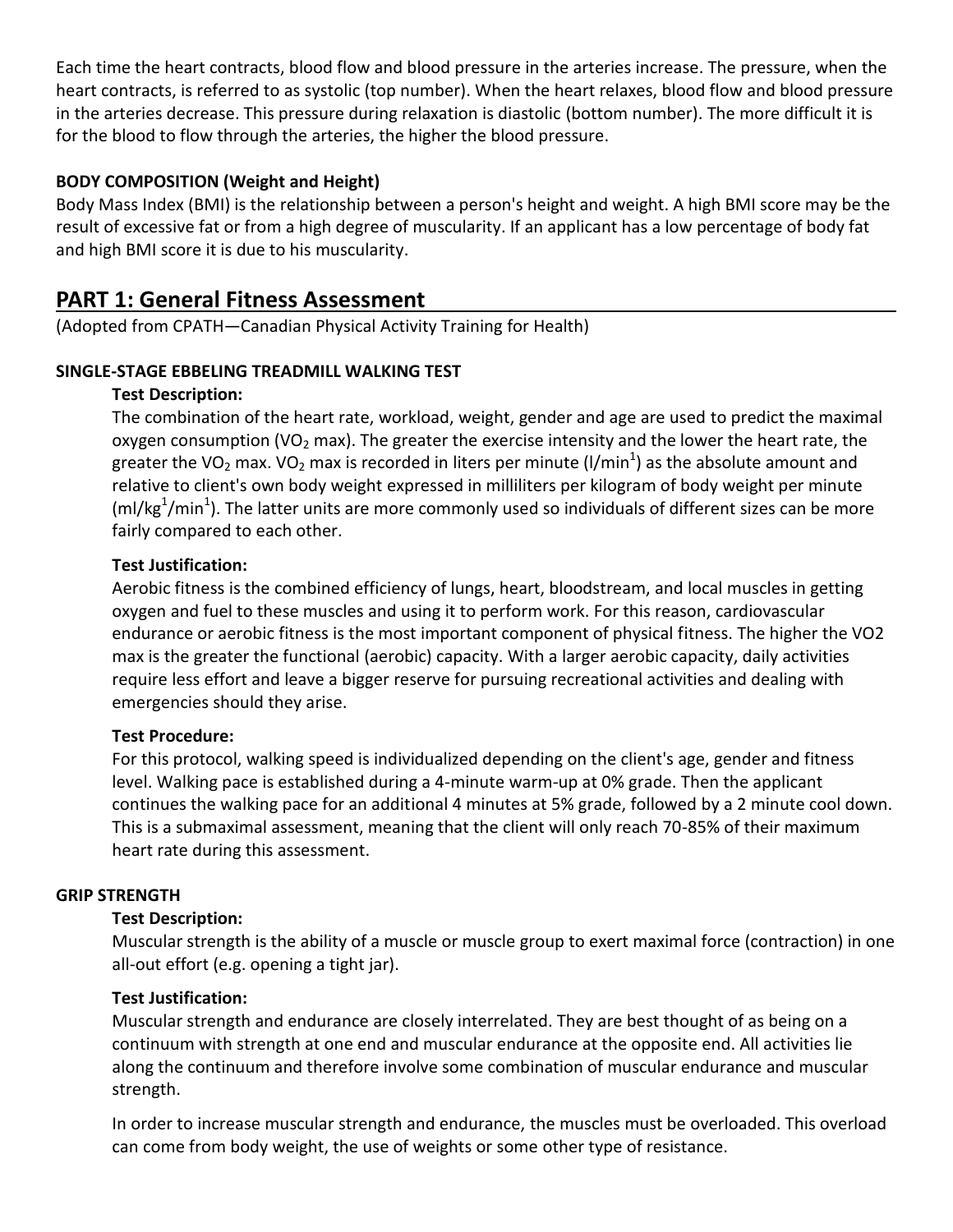Each time the heart contracts, blood flow and blood pressure in the arteries increase. The pressure, when the heart contracts, is referred to as systolic (top number). When the heart relaxes, blood flow and blood pressure in the arteries decrease. This pressure during relaxation is diastolic (bottom number). The more difficult it is for the blood to flow through the arteries, the higher the blood pressure.

# **BODY COMPOSITION (Weight and Height)**

Body Mass Index (BMI) is the relationship between a person's height and weight. A high BMI score may be the result of excessive fat or from a high degree of muscularity. If an applicant has a low percentage of body fat and high BMI score it is due to his muscularity.

# **PART 1: General Fitness Assessment**

(Adopted from CPATH—Canadian Physical Activity Training for Health)

# **SINGLE-STAGE EBBELING TREADMILL WALKING TEST**

# **Test Description:**

The combination of the heart rate, workload, weight, gender and age are used to predict the maximal oxygen consumption (VO<sub>2</sub> max). The greater the exercise intensity and the lower the heart rate, the greater the VO<sub>2</sub> max. VO<sub>2</sub> max is recorded in liters per minute (I/min<sup>1</sup>) as the absolute amount and relative to client's own body weight expressed in milliliters per kilogram of body weight per minute (ml/kg<sup>1</sup>/min<sup>1</sup>). The latter units are more commonly used so individuals of different sizes can be more fairly compared to each other.

# **Test Justification:**

Aerobic fitness is the combined efficiency of lungs, heart, bloodstream, and local muscles in getting oxygen and fuel to these muscles and using it to perform work. For this reason, cardiovascular endurance or aerobic fitness is the most important component of physical fitness. The higher the VO2 max is the greater the functional (aerobic) capacity. With a larger aerobic capacity, daily activities require less effort and leave a bigger reserve for pursuing recreational activities and dealing with emergencies should they arise.

# **Test Procedure:**

For this protocol, walking speed is individualized depending on the client's age, gender and fitness level. Walking pace is established during a 4-minute warm-up at 0% grade. Then the applicant continues the walking pace for an additional 4 minutes at 5% grade, followed by a 2 minute cool down. This is a submaximal assessment, meaning that the client will only reach 70-85% of their maximum heart rate during this assessment.

# **GRIP STRENGTH**

# **Test Description:**

Muscular strength is the ability of a muscle or muscle group to exert maximal force (contraction) in one all-out effort (e.g. opening a tight jar).

# **Test Justification:**

Muscular strength and endurance are closely interrelated. They are best thought of as being on a continuum with strength at one end and muscular endurance at the opposite end. All activities lie along the continuum and therefore involve some combination of muscular endurance and muscular strength.

In order to increase muscular strength and endurance, the muscles must be overloaded. This overload can come from body weight, the use of weights or some other type of resistance.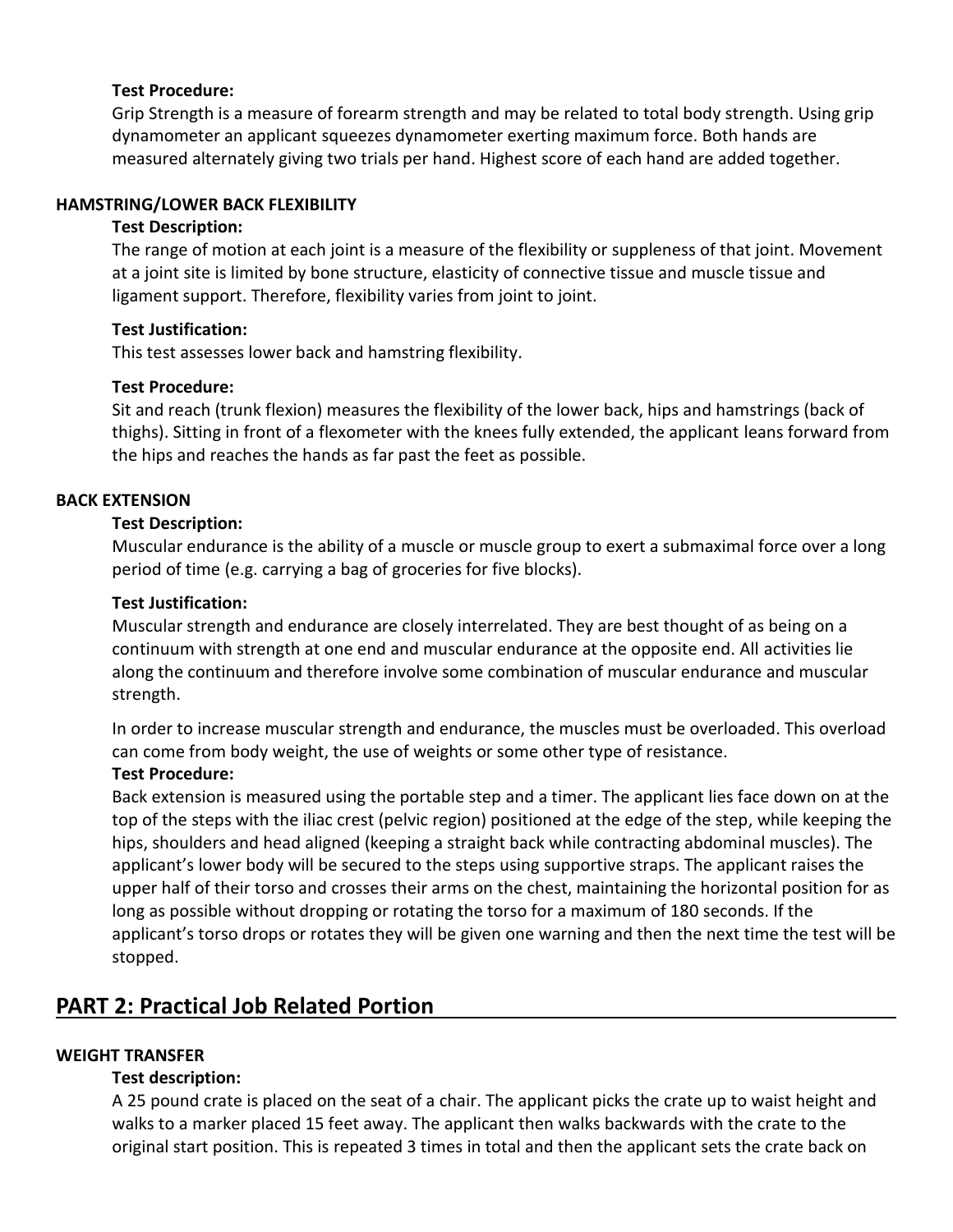# **Test Procedure:**

Grip Strength is a measure of forearm strength and may be related to total body strength. Using grip dynamometer an applicant squeezes dynamometer exerting maximum force. Both hands are measured alternately giving two trials per hand. Highest score of each hand are added together.

# **HAMSTRING/LOWER BACK FLEXIBILITY**

#### **Test Description:**

The range of motion at each joint is a measure of the flexibility or suppleness of that joint. Movement at a joint site is limited by bone structure, elasticity of connective tissue and muscle tissue and ligament support. Therefore, flexibility varies from joint to joint.

#### **Test Justification:**

This test assesses lower back and hamstring flexibility.

#### **Test Procedure:**

Sit and reach (trunk flexion) measures the flexibility of the lower back, hips and hamstrings (back of thighs). Sitting in front of a flexometer with the knees fully extended, the applicant leans forward from the hips and reaches the hands as far past the feet as possible.

# **BACK EXTENSION**

#### **Test Description:**

Muscular endurance is the ability of a muscle or muscle group to exert a submaximal force over a long period of time (e.g. carrying a bag of groceries for five blocks).

#### **Test Justification:**

Muscular strength and endurance are closely interrelated. They are best thought of as being on a continuum with strength at one end and muscular endurance at the opposite end. All activities lie along the continuum and therefore involve some combination of muscular endurance and muscular strength.

In order to increase muscular strength and endurance, the muscles must be overloaded. This overload can come from body weight, the use of weights or some other type of resistance.

#### **Test Procedure:**

Back extension is measured using the portable step and a timer. The applicant lies face down on at the top of the steps with the iliac crest (pelvic region) positioned at the edge of the step, while keeping the hips, shoulders and head aligned (keeping a straight back while contracting abdominal muscles). The applicant's lower body will be secured to the steps using supportive straps. The applicant raises the upper half of their torso and crosses their arms on the chest, maintaining the horizontal position for as long as possible without dropping or rotating the torso for a maximum of 180 seconds. If the applicant's torso drops or rotates they will be given one warning and then the next time the test will be stopped.

# **PART 2: Practical Job Related Portion**

# **WEIGHT TRANSFER**

# **Test description:**

A 25 pound crate is placed on the seat of a chair. The applicant picks the crate up to waist height and walks to a marker placed 15 feet away. The applicant then walks backwards with the crate to the original start position. This is repeated 3 times in total and then the applicant sets the crate back on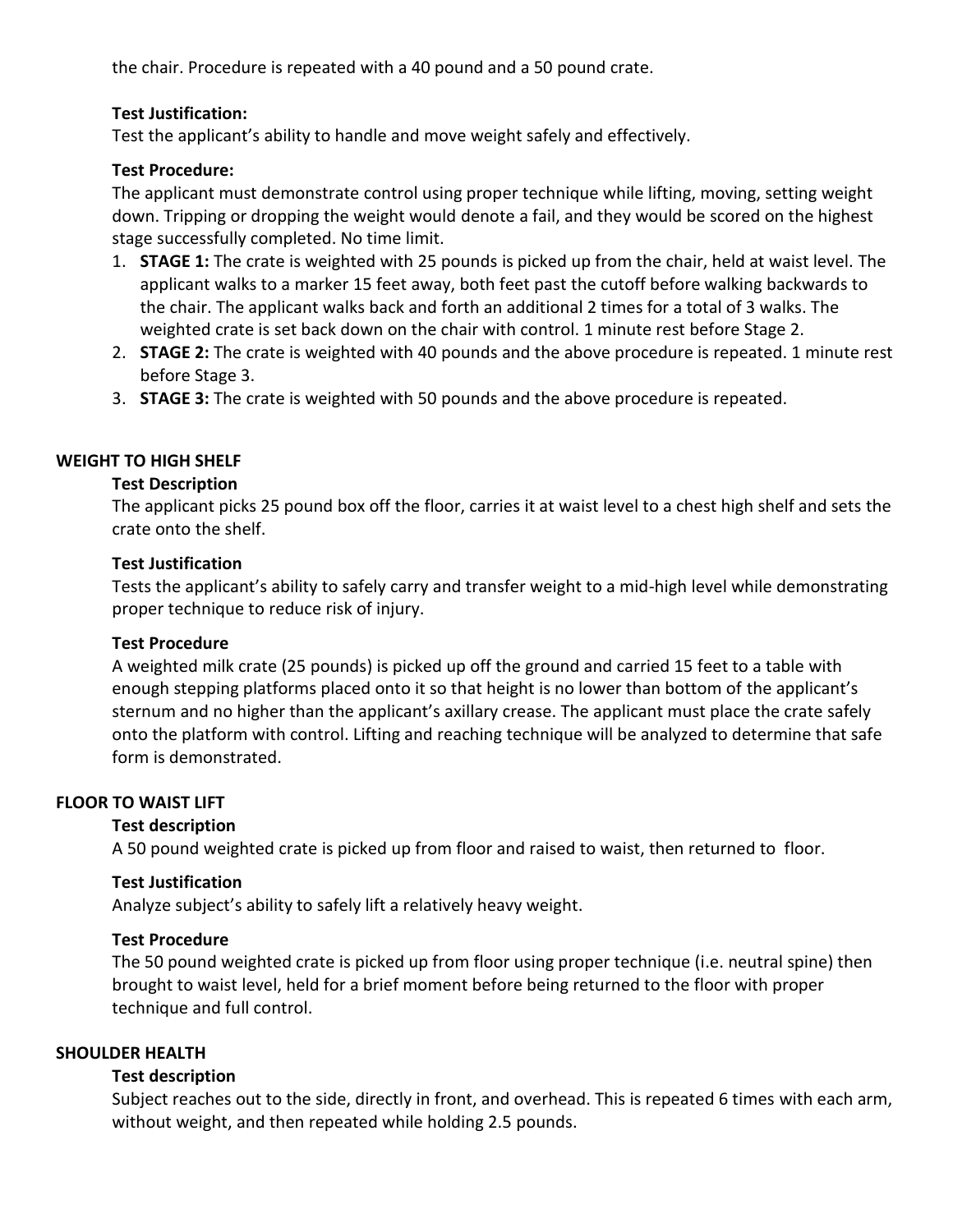the chair. Procedure is repeated with a 40 pound and a 50 pound crate.

# **Test Justification:**

Test the applicant's ability to handle and move weight safely and effectively.

# **Test Procedure:**

The applicant must demonstrate control using proper technique while lifting, moving, setting weight down. Tripping or dropping the weight would denote a fail, and they would be scored on the highest stage successfully completed. No time limit.

- 1. **STAGE 1:** The crate is weighted with 25 pounds is picked up from the chair, held at waist level. The applicant walks to a marker 15 feet away, both feet past the cutoff before walking backwards to the chair. The applicant walks back and forth an additional 2 times for a total of 3 walks. The weighted crate is set back down on the chair with control. 1 minute rest before Stage 2.
- 2. **STAGE 2:** The crate is weighted with 40 pounds and the above procedure is repeated. 1 minute rest before Stage 3.
- 3. **STAGE 3:** The crate is weighted with 50 pounds and the above procedure is repeated.

# **WEIGHT TO HIGH SHELF**

# **Test Description**

The applicant picks 25 pound box off the floor, carries it at waist level to a chest high shelf and sets the crate onto the shelf.

# **Test Justification**

Tests the applicant's ability to safely carry and transfer weight to a mid-high level while demonstrating proper technique to reduce risk of injury.

# **Test Procedure**

A weighted milk crate (25 pounds) is picked up off the ground and carried 15 feet to a table with enough stepping platforms placed onto it so that height is no lower than bottom of the applicant's sternum and no higher than the applicant's axillary crease. The applicant must place the crate safely onto the platform with control. Lifting and reaching technique will be analyzed to determine that safe form is demonstrated.

# **FLOOR TO WAIST LIFT**

# **Test description**

A 50 pound weighted crate is picked up from floor and raised to waist, then returned to floor.

# **Test Justification**

Analyze subject's ability to safely lift a relatively heavy weight.

# **Test Procedure**

The 50 pound weighted crate is picked up from floor using proper technique (i.e. neutral spine) then brought to waist level, held for a brief moment before being returned to the floor with proper technique and full control.

# **SHOULDER HEALTH**

# **Test description**

Subject reaches out to the side, directly in front, and overhead. This is repeated 6 times with each arm, without weight, and then repeated while holding 2.5 pounds.